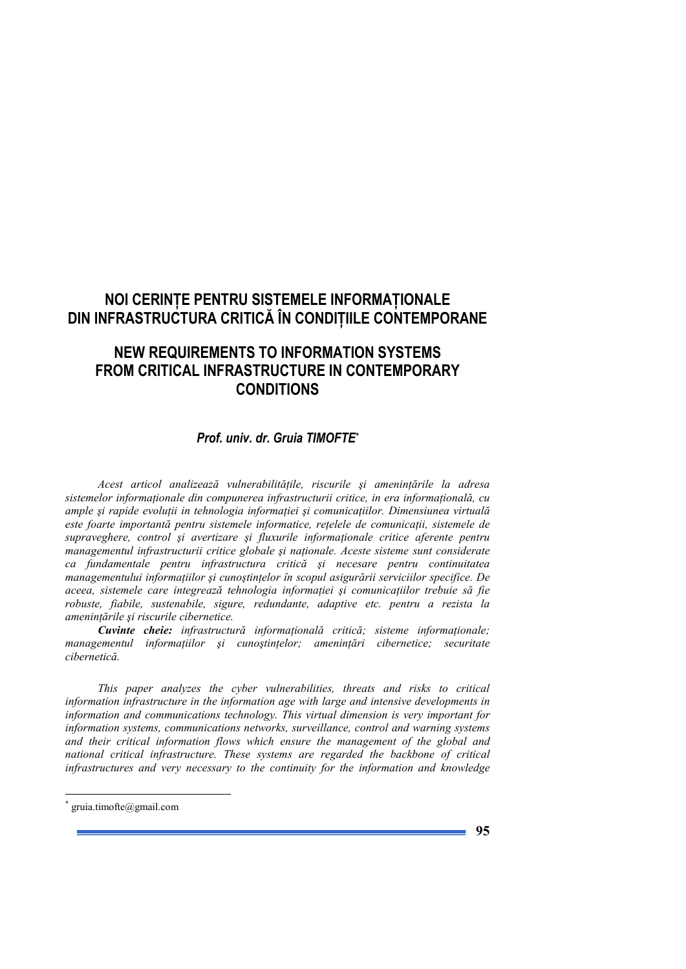## **NOI CERINȚE PENTRU SISTEMELE INFORMAȚIONALE DIN INFRASTRUCTURA CRITICĂ ÎN CONDIȚIILE CONTEMPORANE**

## **NEW REQUIREMENTS TO INFORMATION SYSTEMS FROM CRITICAL INFRASTRUCTURE IN CONTEMPORARY CONDITIONS**

## *Prof. univ. dr. Gruia TIMOFTE\**

*Acest articol analizează vulnerabilitățile, riscurile și amenințările la adresa* sistemelor informaționale din compunerea infrastructurii critice, in era informațională, cu ample și rapide evoluții in tehnologia informației și comunicațiilor. Dimensiunea virtuală este foarte importantă pentru sistemele informatice, rețelele de comunicații, sistemele de supraveghere, control și avertizare și fluxurile informaționale critice aferente pentru *managementul infrastructurii critice globale și naționale. Aceste sisteme sunt considerate ca fundamentale pentru infrastructura critică şi necesare pentru continuitatea managementului informatiilor și cunoștințelor în scopul asigurării serviciilor specifice. De* aceea, sistemele care integrează tehnologia informației și comunicațiilor trebuie să fie *robuste, fiabile, sustenabile, sigure, redundante, adaptive etc. pentru a rezista la*   $a$ menintările și riscurile cibernetice.

**Cuvinte cheie:** infrastructură informațională critică; sisteme informaționale; *managementul informațiilor și cunoștințelor; amenințări cibernetice; securitate cibernetică.* 

*This paper analyzes the cyber vulnerabilities, threats and risks to critical information infrastructure in the information age with large and intensive developments in information and communications technology. This virtual dimension is very important for information systems, communications networks, surveillance, control and warning systems and their critical information flows which ensure the management of the global and national critical infrastructure. These systems are regarded the backbone of critical infrastructures and very necessary to the continuity for the information and knowledge* 

-

<sup>\*</sup> gruia.timofte@gmail.com